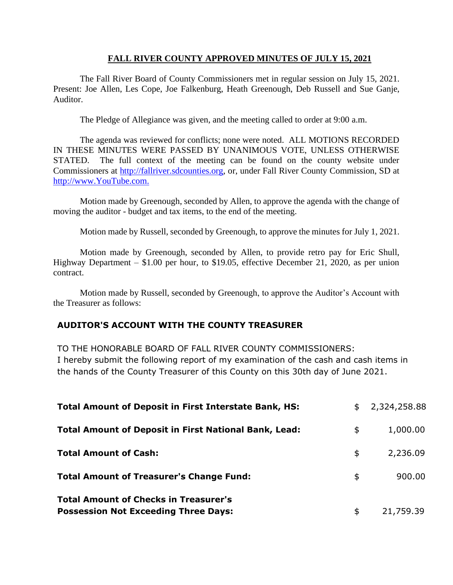### **FALL RIVER COUNTY APPROVED MINUTES OF JULY 15, 2021**

The Fall River Board of County Commissioners met in regular session on July 15, 2021. Present: Joe Allen, Les Cope, Joe Falkenburg, Heath Greenough, Deb Russell and Sue Ganje, Auditor.

The Pledge of Allegiance was given, and the meeting called to order at 9:00 a.m.

The agenda was reviewed for conflicts; none were noted. ALL MOTIONS RECORDED IN THESE MINUTES WERE PASSED BY UNANIMOUS VOTE, UNLESS OTHERWISE STATED. The full context of the meeting can be found on the county website under Commissioners at [http://fallriver.sdcounties.org,](http://fallriver.sdcounties.org/) or, under Fall River County Commission, SD at [http://www.YouTube.com.](http://www.youtube.com/)

Motion made by Greenough, seconded by Allen, to approve the agenda with the change of moving the auditor - budget and tax items, to the end of the meeting.

Motion made by Russell, seconded by Greenough, to approve the minutes for July 1, 2021.

Motion made by Greenough, seconded by Allen, to provide retro pay for Eric Shull, Highway Department – \$1.00 per hour, to \$19.05, effective December 21, 2020, as per union contract.

Motion made by Russell, seconded by Greenough, to approve the Auditor's Account with the Treasurer as follows:

# **AUDITOR'S ACCOUNT WITH THE COUNTY TREASURER**

TO THE HONORABLE BOARD OF FALL RIVER COUNTY COMMISSIONERS:

I hereby submit the following report of my examination of the cash and cash items in the hands of the County Treasurer of this County on this 30th day of June 2021.

| <b>Total Amount of Deposit in First Interstate Bank, HS:</b>                                | $\frac{1}{2}$ | 2,324,258.88 |
|---------------------------------------------------------------------------------------------|---------------|--------------|
| <b>Total Amount of Deposit in First National Bank, Lead:</b>                                | \$            | 1,000.00     |
| <b>Total Amount of Cash:</b>                                                                | \$            | 2,236.09     |
| <b>Total Amount of Treasurer's Change Fund:</b>                                             | \$            | 900.00       |
| <b>Total Amount of Checks in Treasurer's</b><br><b>Possession Not Exceeding Three Days:</b> | \$            | 21,759.39    |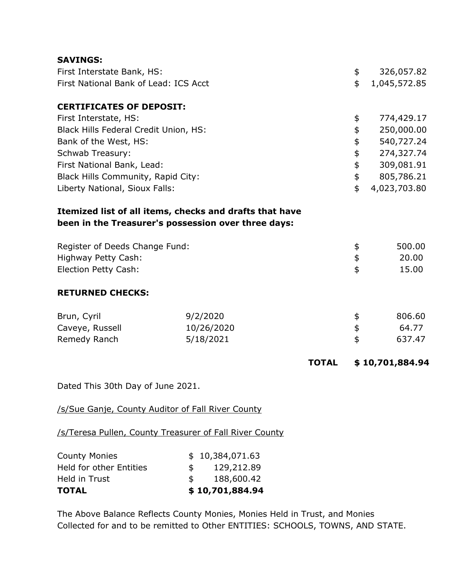| <b>SAVINGS:</b>                       |                                                                                                                |              |            |                 |
|---------------------------------------|----------------------------------------------------------------------------------------------------------------|--------------|------------|-----------------|
| First Interstate Bank, HS:            |                                                                                                                |              | \$         | 326,057.82      |
| First National Bank of Lead: ICS Acct |                                                                                                                |              | \$         | 1,045,572.85    |
| <b>CERTIFICATES OF DEPOSIT:</b>       |                                                                                                                |              |            |                 |
| First Interstate, HS:                 |                                                                                                                |              | \$         | 774,429.17      |
| Black Hills Federal Credit Union, HS: |                                                                                                                |              | \$         | 250,000.00      |
| Bank of the West, HS:                 |                                                                                                                |              | \$         | 540,727.24      |
| Schwab Treasury:                      |                                                                                                                |              | \$         | 274,327.74      |
| First National Bank, Lead:            |                                                                                                                |              | \$         | 309,081.91      |
| Black Hills Community, Rapid City:    |                                                                                                                |              | \$         | 805,786.21      |
| Liberty National, Sioux Falls:        |                                                                                                                |              | \$         | 4,023,703.80    |
|                                       | Itemized list of all items, checks and drafts that have<br>been in the Treasurer's possession over three days: |              |            |                 |
| Register of Deeds Change Fund:        |                                                                                                                |              | \$         | 500.00          |
| Highway Petty Cash:                   |                                                                                                                |              | $\pmb{\$}$ | 20.00           |
| Election Petty Cash:                  |                                                                                                                |              | \$         | 15.00           |
| <b>RETURNED CHECKS:</b>               |                                                                                                                |              |            |                 |
| Brun, Cyril                           | 9/2/2020                                                                                                       |              | \$         | 806.60          |
| Caveye, Russell                       | 10/26/2020                                                                                                     |              | \$         | 64.77           |
| Remedy Ranch                          | 5/18/2021                                                                                                      |              | \$         | 637.47          |
|                                       |                                                                                                                | <b>TOTAL</b> |            | \$10,701,884.94 |
| Dated This 30th Day of June 2021.     |                                                                                                                |              |            |                 |
|                                       | /s/Sue Ganje, County Auditor of Fall River County                                                              |              |            |                 |
|                                       | /s/Teresa Pullen, County Treasurer of Fall River County                                                        |              |            |                 |
| <b>County Monies</b>                  | \$10.384.071.63                                                                                                |              |            |                 |

| <b>TOTAL</b>                   |              | \$10,701,884.94 |
|--------------------------------|--------------|-----------------|
| Held in Trust                  | $\mathbb{S}$ | 188,600.42      |
| <b>Held for other Entities</b> | S.           | 129,212.89      |
| <b>County Monies</b>           |              | \$10,384,071.63 |

The Above Balance Reflects County Monies, Monies Held in Trust, and Monies Collected for and to be remitted to Other ENTITIES: SCHOOLS, TOWNS, AND STATE.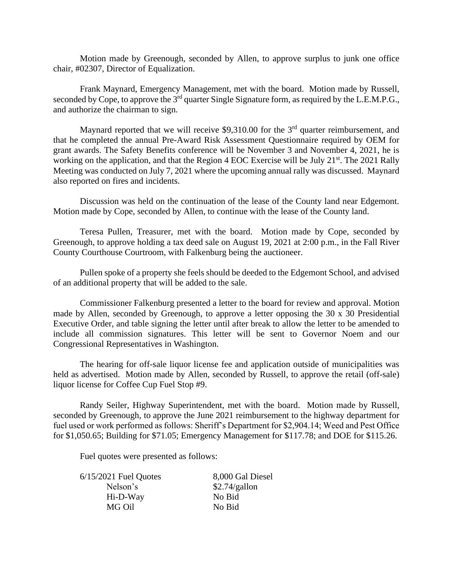Motion made by Greenough, seconded by Allen, to approve surplus to junk one office chair, #02307, Director of Equalization.

Frank Maynard, Emergency Management, met with the board. Motion made by Russell, seconded by Cope, to approve the 3<sup>rd</sup> quarter Single Signature form, as required by the L.E.M.P.G., and authorize the chairman to sign.

Maynard reported that we will receive \$9,310.00 for the  $3<sup>rd</sup>$  quarter reimbursement, and that he completed the annual Pre-Award Risk Assessment Questionnaire required by OEM for grant awards. The Safety Benefits conference will be November 3 and November 4, 2021, he is working on the application, and that the Region 4 EOC Exercise will be July 21<sup>st</sup>. The 2021 Rally Meeting was conducted on July 7, 2021 where the upcoming annual rally was discussed. Maynard also reported on fires and incidents.

Discussion was held on the continuation of the lease of the County land near Edgemont. Motion made by Cope, seconded by Allen, to continue with the lease of the County land.

Teresa Pullen, Treasurer, met with the board. Motion made by Cope, seconded by Greenough, to approve holding a tax deed sale on August 19, 2021 at 2:00 p.m., in the Fall River County Courthouse Courtroom, with Falkenburg being the auctioneer.

Pullen spoke of a property she feels should be deeded to the Edgemont School, and advised of an additional property that will be added to the sale.

Commissioner Falkenburg presented a letter to the board for review and approval. Motion made by Allen, seconded by Greenough, to approve a letter opposing the 30 x 30 Presidential Executive Order, and table signing the letter until after break to allow the letter to be amended to include all commission signatures. This letter will be sent to Governor Noem and our Congressional Representatives in Washington.

The hearing for off-sale liquor license fee and application outside of municipalities was held as advertised. Motion made by Allen, seconded by Russell, to approve the retail (off-sale) liquor license for Coffee Cup Fuel Stop #9.

Randy Seiler, Highway Superintendent, met with the board. Motion made by Russell, seconded by Greenough, to approve the June 2021 reimbursement to the highway department for fuel used or work performed as follows: Sheriff's Department for \$2,904.14; Weed and Pest Office for \$1,050.65; Building for \$71.05; Emergency Management for \$117.78; and DOE for \$115.26.

Fuel quotes were presented as follows:

| $6/15/2021$ Fuel Quotes | 8,000 Gal Diesel |
|-------------------------|------------------|
| Nelson's                | \$2.74/gallon    |
| Hi-D-Way                | No Bid           |
| MG Oil                  | No Bid           |
|                         |                  |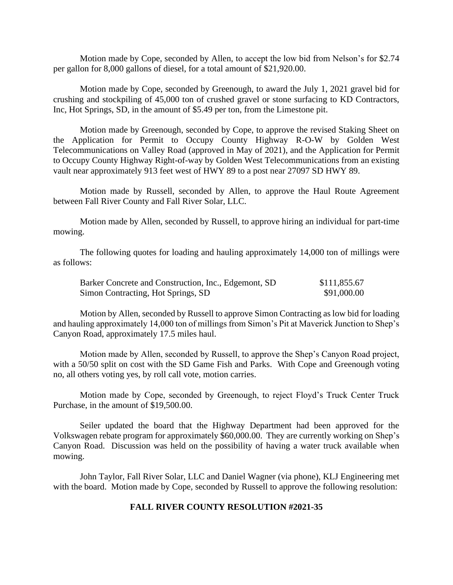Motion made by Cope, seconded by Allen, to accept the low bid from Nelson's for \$2.74 per gallon for 8,000 gallons of diesel, for a total amount of \$21,920.00.

Motion made by Cope, seconded by Greenough, to award the July 1, 2021 gravel bid for crushing and stockpiling of 45,000 ton of crushed gravel or stone surfacing to KD Contractors, Inc, Hot Springs, SD, in the amount of \$5.49 per ton, from the Limestone pit.

Motion made by Greenough, seconded by Cope, to approve the revised Staking Sheet on the Application for Permit to Occupy County Highway R-O-W by Golden West Telecommunications on Valley Road (approved in May of 2021), and the Application for Permit to Occupy County Highway Right-of-way by Golden West Telecommunications from an existing vault near approximately 913 feet west of HWY 89 to a post near 27097 SD HWY 89.

Motion made by Russell, seconded by Allen, to approve the Haul Route Agreement between Fall River County and Fall River Solar, LLC.

Motion made by Allen, seconded by Russell, to approve hiring an individual for part-time mowing.

The following quotes for loading and hauling approximately 14,000 ton of millings were as follows:

| Barker Concrete and Construction, Inc., Edgemont, SD | \$111,855.67 |
|------------------------------------------------------|--------------|
| Simon Contracting, Hot Springs, SD                   | \$91,000.00  |

Motion by Allen, seconded by Russell to approve Simon Contracting as low bid for loading and hauling approximately 14,000 ton of millings from Simon's Pit at Maverick Junction to Shep's Canyon Road, approximately 17.5 miles haul.

Motion made by Allen, seconded by Russell, to approve the Shep's Canyon Road project, with a 50/50 split on cost with the SD Game Fish and Parks. With Cope and Greenough voting no, all others voting yes, by roll call vote, motion carries.

Motion made by Cope, seconded by Greenough, to reject Floyd's Truck Center Truck Purchase, in the amount of \$19,500.00.

Seiler updated the board that the Highway Department had been approved for the Volkswagen rebate program for approximately \$60,000.00. They are currently working on Shep's Canyon Road. Discussion was held on the possibility of having a water truck available when mowing.

John Taylor, Fall River Solar, LLC and Daniel Wagner (via phone), KLJ Engineering met with the board. Motion made by Cope, seconded by Russell to approve the following resolution:

### **FALL RIVER COUNTY RESOLUTION #2021-35**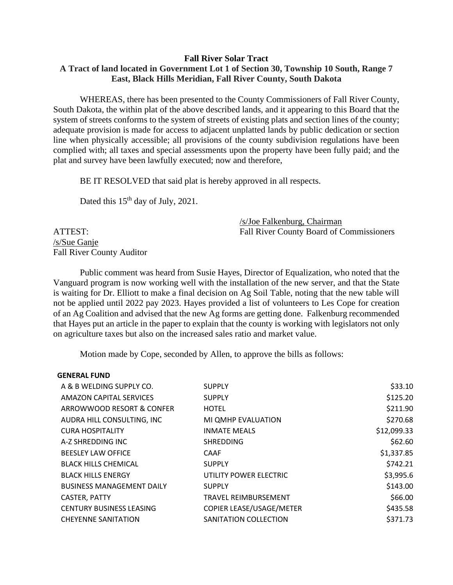### **Fall River Solar Tract A Tract of land located in Government Lot 1 of Section 30, Township 10 South, Range 7 East, Black Hills Meridian, Fall River County, South Dakota**

WHEREAS, there has been presented to the County Commissioners of Fall River County, South Dakota, the within plat of the above described lands, and it appearing to this Board that the system of streets conforms to the system of streets of existing plats and section lines of the county; adequate provision is made for access to adjacent unplatted lands by public dedication or section line when physically accessible; all provisions of the county subdivision regulations have been complied with; all taxes and special assessments upon the property have been fully paid; and the plat and survey have been lawfully executed; now and therefore,

BE IT RESOLVED that said plat is hereby approved in all respects.

Dated this 15<sup>th</sup> day of July, 2021.

/s/Joe Falkenburg, Chairman ATTEST: Fall River County Board of Commissioners

/s/Sue Ganje Fall River County Auditor

Public comment was heard from Susie Hayes, Director of Equalization, who noted that the Vanguard program is now working well with the installation of the new server, and that the State is waiting for Dr. Elliott to make a final decision on Ag Soil Table, noting that the new table will not be applied until 2022 pay 2023. Hayes provided a list of volunteers to Les Cope for creation of an Ag Coalition and advised that the new Ag forms are getting done. Falkenburg recommended that Hayes put an article in the paper to explain that the county is working with legislators not only on agriculture taxes but also on the increased sales ratio and market value.

Motion made by Cope, seconded by Allen, to approve the bills as follows:

#### **GENERAL FUND**

| A & B WELDING SUPPLY CO.         | <b>SUPPLY</b>            | \$33.10     |
|----------------------------------|--------------------------|-------------|
| AMAZON CAPITAL SERVICES          | <b>SUPPLY</b>            | \$125.20    |
| ARROWWOOD RESORT & CONFER        | <b>HOTEL</b>             | \$211.90    |
| AUDRA HILL CONSULTING, INC       | MI QMHP EVALUATION       | \$270.68    |
| <b>CURA HOSPITALITY</b>          | <b>INMATE MEALS</b>      | \$12,099.33 |
| A-Z SHREDDING INC                | <b>SHREDDING</b>         | \$62.60     |
| <b>BEESLEY LAW OFFICE</b>        | <b>CAAF</b>              | \$1,337.85  |
| <b>BLACK HILLS CHEMICAL</b>      | <b>SUPPLY</b>            | \$742.21    |
| <b>BLACK HILLS ENERGY</b>        | UTILITY POWER ELECTRIC   | \$3,995.6   |
| <b>BUSINESS MANAGEMENT DAILY</b> | <b>SUPPLY</b>            | \$143.00    |
| CASTER, PATTY                    | TRAVEL REIMBURSEMENT     | \$66.00     |
| <b>CENTURY BUSINESS LEASING</b>  | COPIER LEASE/USAGE/METER | \$435.58    |
| <b>CHEYENNE SANITATION</b>       | SANITATION COLLECTION    | \$371.73    |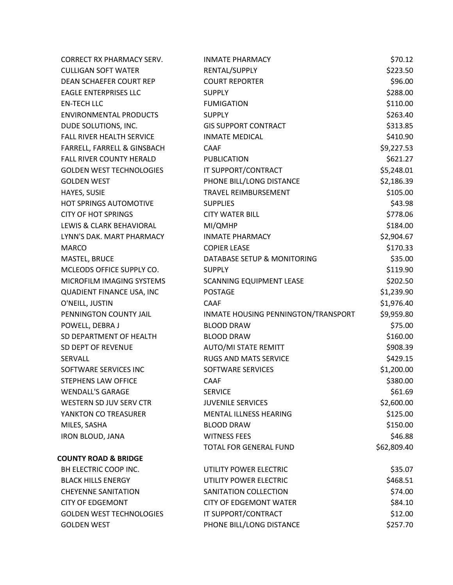| <b>CORRECT RX PHARMACY SERV.</b> | <b>INMATE PHARMACY</b>              | \$70.12     |
|----------------------------------|-------------------------------------|-------------|
| <b>CULLIGAN SOFT WATER</b>       | RENTAL/SUPPLY                       | \$223.50    |
| DEAN SCHAEFER COURT REP          | <b>COURT REPORTER</b>               | \$96.00     |
| <b>EAGLE ENTERPRISES LLC</b>     | <b>SUPPLY</b>                       | \$288.00    |
| <b>EN-TECH LLC</b>               | <b>FUMIGATION</b>                   | \$110.00    |
| <b>ENVIRONMENTAL PRODUCTS</b>    | <b>SUPPLY</b>                       | \$263.40    |
| DUDE SOLUTIONS, INC.             | <b>GIS SUPPORT CONTRACT</b>         | \$313.85    |
| FALL RIVER HEALTH SERVICE        | <b>INMATE MEDICAL</b>               | \$410.90    |
| FARRELL, FARRELL & GINSBACH      | <b>CAAF</b>                         | \$9,227.53  |
| <b>FALL RIVER COUNTY HERALD</b>  | <b>PUBLICATION</b>                  | \$621.27    |
| <b>GOLDEN WEST TECHNOLOGIES</b>  | IT SUPPORT/CONTRACT                 | \$5,248.01  |
| <b>GOLDEN WEST</b>               | PHONE BILL/LONG DISTANCE            | \$2,186.39  |
| HAYES, SUSIE                     | TRAVEL REIMBURSEMENT                | \$105.00    |
| HOT SPRINGS AUTOMOTIVE           | <b>SUPPLIES</b>                     | \$43.98     |
| <b>CITY OF HOT SPRINGS</b>       | <b>CITY WATER BILL</b>              | \$778.06    |
| LEWIS & CLARK BEHAVIORAL         | MI/QMHP                             | \$184.00    |
| LYNN'S DAK. MART PHARMACY        | <b>INMATE PHARMACY</b>              | \$2,904.67  |
| <b>MARCO</b>                     | <b>COPIER LEASE</b>                 | \$170.33    |
| MASTEL, BRUCE                    | DATABASE SETUP & MONITORING         | \$35.00     |
| MCLEODS OFFICE SUPPLY CO.        | <b>SUPPLY</b>                       | \$119.90    |
| MICROFILM IMAGING SYSTEMS        | <b>SCANNING EQUIPMENT LEASE</b>     | \$202.50    |
| QUADIENT FINANCE USA, INC        | <b>POSTAGE</b>                      | \$1,239.90  |
| O'NEILL, JUSTIN                  | <b>CAAF</b>                         | \$1,976.40  |
| PENNINGTON COUNTY JAIL           | INMATE HOUSING PENNINGTON/TRANSPORT | \$9,959.80  |
| POWELL, DEBRA J                  | <b>BLOOD DRAW</b>                   | \$75.00     |
| SD DEPARTMENT OF HEALTH          | <b>BLOOD DRAW</b>                   | \$160.00    |
| SD DEPT OF REVENUE               | AUTO/MI STATE REMITT                | \$908.39    |
| SERVALL                          | RUGS AND MATS SERVICE               | \$429.15    |
| SOFTWARE SERVICES INC            | SOFTWARE SERVICES                   | \$1,200.00  |
| STEPHENS LAW OFFICE              | CAAF                                | \$380.00    |
| <b>WENDALL'S GARAGE</b>          | <b>SERVICE</b>                      | \$61.69     |
| WESTERN SD JUV SERV CTR          | <b>JUVENILE SERVICES</b>            | \$2,600.00  |
| YANKTON CO TREASURER             | <b>MENTAL ILLNESS HEARING</b>       | \$125.00    |
| MILES, SASHA                     | <b>BLOOD DRAW</b>                   | \$150.00    |
| <b>IRON BLOUD, JANA</b>          | <b>WITNESS FEES</b>                 | \$46.88     |
|                                  | <b>TOTAL FOR GENERAL FUND</b>       | \$62,809.40 |
| <b>COUNTY ROAD &amp; BRIDGE</b>  |                                     |             |
| BH ELECTRIC COOP INC.            | UTILITY POWER ELECTRIC              | \$35.07     |
| <b>BLACK HILLS ENERGY</b>        | UTILITY POWER ELECTRIC              | \$468.51    |
| <b>CHEYENNE SANITATION</b>       | SANITATION COLLECTION               | \$74.00     |
| <b>CITY OF EDGEMONT</b>          | <b>CITY OF EDGEMONT WATER</b>       | \$84.10     |
| <b>GOLDEN WEST TECHNOLOGIES</b>  | IT SUPPORT/CONTRACT                 | \$12.00     |
| <b>GOLDEN WEST</b>               | PHONE BILL/LONG DISTANCE            | \$257.70    |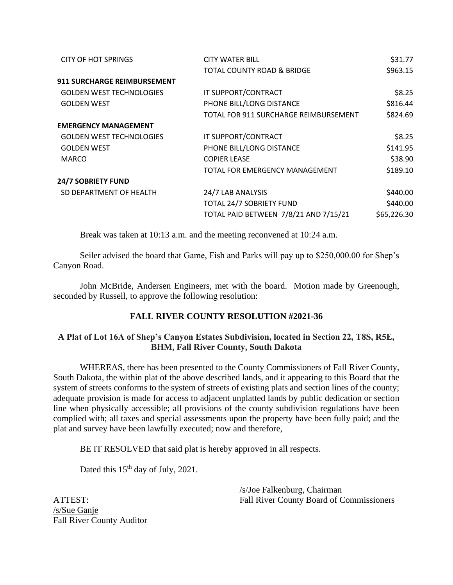| <b>CITY WATER BILL</b>                | \$31.77     |
|---------------------------------------|-------------|
| TOTAL COUNTY ROAD & BRIDGE            | \$963.15    |
|                                       |             |
| IT SUPPORT/CONTRACT                   | \$8.25      |
| PHONE BILL/LONG DISTANCE              | \$816.44    |
| TOTAL FOR 911 SURCHARGE REIMBURSEMENT | \$824.69    |
|                                       |             |
| IT SUPPORT/CONTRACT                   | \$8.25      |
| PHONE BILL/LONG DISTANCE              | \$141.95    |
| <b>COPIER LEASE</b>                   | \$38.90     |
| TOTAL FOR EMERGENCY MANAGEMENT        | \$189.10    |
|                                       |             |
| 24/7 LAB ANALYSIS                     | \$440.00    |
| TOTAL 24/7 SOBRIETY FUND              | \$440.00    |
| TOTAL PAID BETWEEN 7/8/21 AND 7/15/21 | \$65,226.30 |
|                                       |             |

Break was taken at 10:13 a.m. and the meeting reconvened at 10:24 a.m.

Seiler advised the board that Game, Fish and Parks will pay up to \$250,000.00 for Shep's Canyon Road.

John McBride, Andersen Engineers, met with the board. Motion made by Greenough, seconded by Russell, to approve the following resolution:

# **FALL RIVER COUNTY RESOLUTION #2021-36**

# **A Plat of Lot 16A of Shep's Canyon Estates Subdivision, located in Section 22, T8S, R5E, BHM, Fall River County, South Dakota**

WHEREAS, there has been presented to the County Commissioners of Fall River County, South Dakota, the within plat of the above described lands, and it appearing to this Board that the system of streets conforms to the system of streets of existing plats and section lines of the county; adequate provision is made for access to adjacent unplatted lands by public dedication or section line when physically accessible; all provisions of the county subdivision regulations have been complied with; all taxes and special assessments upon the property have been fully paid; and the plat and survey have been lawfully executed; now and therefore,

BE IT RESOLVED that said plat is hereby approved in all respects.

Dated this 15<sup>th</sup> day of July, 2021.

/s/Joe Falkenburg, Chairman ATTEST: Fall River County Board of Commissioners

/s/Sue Ganje Fall River County Auditor